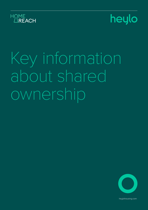





heylohousing.com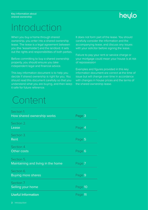### heylo

## Introduction

When you buy a home through shared ownership, you enter into a shared ownership lease. The lease is a legal agreement between you (the 'leaseholder') and the landlord. It sets out the rights and responsibilities of both parties.

Before committing to buy a shared ownership property, you should ensure you take independent legal and financial advice.

This key information document is to help you decide if shared ownership is right for you. You should read this document carefully so that you understand what you are buying, and then keep it safe for future reference.

It does not form part of the lease. You should carefully consider the information and the accompanying lease, and discuss any issues with your solicitor before signing the lease.

Failure to pay your rent or service charge or your mortgage could mean your house is at risk of repossession

Examples and figures provided in this key information document are correct at the time of issue but will change over time in accordance with changes in house prices and the terms of the shared ownership lease.

## Content

| Section 1.<br>How shared ownership works         | Page 3  |
|--------------------------------------------------|---------|
| Section 2.<br>Lease                              | Page 4  |
| Section 3.<br>Rent                               | Page 5  |
| Section 4.<br>Other costs                        | Page 6  |
| Section 5.<br>Maintaining and living in the home | Page 7  |
| Section 6.<br><b>Buying more shares</b>          | Page 9  |
| Section 7.<br>Selling your home                  | Page 10 |
| <b>Useful Information</b>                        | Page 11 |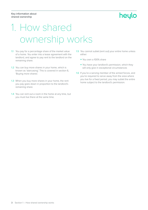### heylo

## 1. How shared ownership works

- 1.1 You pay for a percentage share of the market value of a home. You enter into a lease agreement with the landlord, and agree to pay rent to the landlord on the remaining share.
- 1.2 You can buy more shares in your home, which is known as 'staircasing'. This is covered in section 6, 'Buying more shares'.
- 1.3 When you buy more shares in your home, the rent you pay goes down in proportion to the landlord's remaining share.
- 1.4 You can rent out a room in the home at any time, but you must live there at the same time.
- 1.5 You cannot sublet (rent out) your entire home unless either:
	- You own a 100% share
	- You have your landlord's permission, which they will only give in exceptional circumstances
- 1.6 If you're a serving member of the armed forces, and you're required to serve away from the area where you live for a fixed period, you may sublet the entire home subject to the landlord's permission.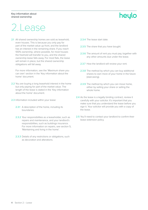### heylo

## 2.Lease

2.1 All shared ownership homes are sold as leasehold, even houses. This is because you only pay for part of the market value up front, and the landlord has an interest in the remaining share. If you reach 100% ownership, where possible, for most houses the freehold will transfer to you, and the shared ownership lease falls away. For most flats, the lease will remain in place, but the shared ownership obligations will fall away.

For more information, see the 'Maximum share you can own' section in the 'Key information about the home' document.

- 2.2 You are buying a long leasehold interest in the home but only paying for part of the market value. The length of the lease is stated in the 'Key information about the home' document.
- 2.3 Information included within your lease:
	- 2.3.1 A description of the home, including its boundaries.
	- 2.3.2 Your responsibilities as a leaseholder, such as repairs and maintenance, and your landlord's responsibilities, such as buildings insurance. For more information on repairs, see section 5, 'Maintaining and living in the home'.
	- 2.3.3 Details of any restrictions or obligations, such as decoration and alterations.
- 2.3.4 The lease start date.
- 2.3.5 The share that you have bought.
- 2.3.6 The amount of rent you must pay, together with any other amounts due under the lease.
- 2.3.7 How the landlord will review your rent.
- 2.3.8 The method by which you can buy additional shares to own more of your home in the future (staircasing).
- 2.3.9 The method by which you can move home, either by selling your share or selling the whole home.
- 2.4 As the lease is a legally binding contract, review it carefully with your solicitor. It's important that you make sure that you understand the lease before you sign it. Your solicitor will provide you with a copy of the lease.
- 2.5 You'll need to contact your landlord to confirm their lease extension policy.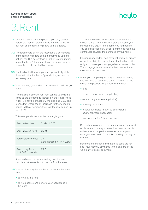### heylo

## 3.Rent

- 3.1 Under a shared ownership lease, you only pay for part of the market value up front, and you agree to pay rent on the remaining share to the landlord.
- 3.2 The total rent to pay in the first year is a percentage of the remaining share of the market value you did not pay for. This percentage is in the 'Key information about the home' document. If you buy more shares in your home, the rent will go down.
- 3.3 The landlord will review your rent periodically at the times set out in the lease. Typically, they review the rent every year.
- 3.4 Your rent may go up when it is reviewed. It will not go down.

The maximum amount your rent can go up by is the same as the percentage increase in the Retail Prices Index (RPI) for the previous 12 months plus 0.5%. This means that where the RPI increase for the 12 month period is 0% or negative, the most the rent can go up by is 0.5%.

This example shows how the rent might go up:

| Rent review date                       | 31 March 2021                          |
|----------------------------------------|----------------------------------------|
| Rent in March 2021                     | £500                                   |
| Percentage increase                    | 2%<br>$(1.5\%$ increase in RPI + 0.5%) |
| Rent to pay from<br>April 2021 onwards | £510                                   |

A worked example demonstrating how the rent is calculated at review is in Appendix 2 of the lease.

- 3.5 Your landlord may be entitled to terminate the lease if you:
	- do not pay the rent
	- do not observe and perform your obligations in the lease

The landlord will need a court order to terminate the lease. If the landlord terminates the lease, you may lose any equity in the home you had bought. You could also lose any deposit or monies you have contributed towards the purchase of your home.

If action is needed for non-payment of rent or breach of another obligation in the lease, the landlord will be obliged to make your mortgage lender aware of this. The mortgage lender may take their own action as they feel is appropriate.

- 3.6 When you complete (the day you buy your home), you will need to pay these costs for the rest of the month and possibly for the following month:
	- $\bullet$  rent
	- service charge (where applicable)
	- estate charge (where applicable)
	- buildings insurance
	- reserve fund (also known as 'sinking fund') payment (where applicable)
	- management fee (where applicable)

Remember to plan for these amounts when you work out how much money you need for completion. You will receive a completion statement that explains what you need to do. Your solicitor will go through it with you.

For more information on what these costs are for, see 'Your monthly payments to the landlord' in the 'Summary of costs' document.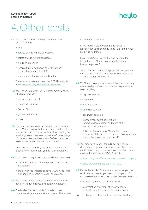### heylo

## 4.Other costs

- 4.1 You'll need to make monthly payments to the landlord for the:
	- rent
	- service charge (where applicable)
	- estate charge (where applicable)
	- buildings insurance
	- reserve fund (also known as 'sinking fund') payment (where applicable)
	- management fee (where applicable)

There is more information on the GOV.UK website about [service charges and other expenses.](https://www.gov.uk/leasehold-property/service-charges-and-other-expenses)

- 4.2 You'll need to budget for your other monthly costs, which may include:
	- mortgage repayment
	- $\bullet$  contents insurance
	- Council Tax
	- gas and electricity
	- $\bullet$  water
- 4.3 You may need to pay a reservation fee to secure your home. When you pay the fee, no one else will be able to reserve the home. Your landlord may have a policy on how long they will reserve a property before exchange of contracts. See the 'Reservation fee' section in the 'Key information about the home' document.

If you go ahead and buy the home, the fee will be taken off the final amount you pay on completion.

- 4.4 You'll need to pay a deposit towards your purchase:
	- check with your solicitor when you need to pay the deposit
	- check with your mortgage adviser when your first mortgage payment is due after completion
- 4.5 You'll need to pay for your contents insurance. You'll need to arrange this yourself before completion.
- 4.6 The landlord is responsible for the buildings insurance while you are a shared owner. This applies

to both houses and flats.

If you reach 100% ownership and remain a leaseholder, you'll continue to pay the landlord for buildings insurance.

If you reach 100% ownership and become the freeholder, you'll need to arrange buildings insurance yourself.

To find out which of these apply, see the 'Maximum share you can own' section in the 'Key information about the home' document.

- 4.7 You'll need to pay your own solicitors' fees and any associated purchase costs. You can expect to pay fees including:
	- legal services fee
	- $\bullet$  search costs
	- banking charges
	- Land Registry fee
	- document pack fee
	- management agent consent fee subject to development and terms of the management company
	- Solicitors' fees can vary. Your solicitor should confirm what the fees cover and the cost when you instruct them to act on your behalf.
- 4.8 You may have to pay Stamp Duty Land Tax (SDLT) depending on your circumstances and the home's market value. Discuss this with your solicitor. There is more guidance on the GOV.UK website:
	- [Stamp Duty Land Tax and shared ownership property](https://www.gov.uk/guidance/sdlt-shared-ownership-property)
	- [Calculate Stamp Duty Land Tax \(SDLT\)](https://www.tax.service.gov.uk/calculate-stamp-duty-land-tax/#/intro)
- 4.9 Remember to plan for these amounts when you work out how much money you need for completion. You will receive the following documents from your solicitor:
	- an initial quote for the costs involved
	- a completion statement after exchange of contracts, which describes the actual costs

Your solicitor will go through these documents with you.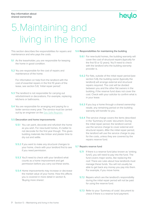### heylo

## 5.Maintaining and living in the home

This section describes the responsibilities for repairs and maintenance and who pays the costs.

- **5.1** As the leaseholder, you are responsible for keeping the home in good condition.
- 5.2 You are responsible for the cost of repairs and maintenance of the home.

For information on help from the landlord with the cost of essential repairs in the first 10 years of the lease, see section 5.8, 'Initial repair period'.

- **5.3** The landlord is not responsible for carrying out refurbishment or decorations. For example, replacing kitchens or bathrooms.
- **5.4** You are responsible for arranging and paying for a boiler service every year. The service must be carried out by an engineer on the [Gas Safe Register.](https://www.gassaferegister.co.uk/)

#### 5.5 Decoration and home improvements

- 5.5.1 You can paint, decorate and refurbish the home as you wish. For new-build homes, it's better to not decorate for the first year though. This gives building materials like timber and plaster time to dry out and settle.
- 5.5.2 If you want to make any structural changes to your home, check with your landlord first to see if you need permission.
- 5.5.3 You'll need to check with your landlord what counts as a home improvement and get permission before you carry out these works.
- 5.5.4 Home improvements may increase or decrease the market value of your home. How this affects you is covered in more detail in section 6, 'Buying more shares'.

#### 5.6 Responsibilities for maintaining the building

- 5.6.1 For new-build homes, the building warranty will cover the cost of structural repairs (typically for the first 10 or 12 years). You'll need to check with the landlord who the building warranty provider is.
- 5.6.2 For flats, outside of the initial repair period (see section 5.8), the building owner (typically the landlord) will arrange external and structural repairs required. The cost will be divided between you and the other flat owners in the building, if the reserve fund does not cover the cost. Check with your solicitor to confirm what is in your lease.
- 5.6.3 If you buy a home through a shared ownership resale, any remaining period on the building warranty will transfer to you.
- 5.6.4 The service charge covers the items described in the 'Summary of costs' document. During the initial repair period, the landlord cannot use the service charge to cover external and structural repairs. After the initial repair period, the landlord will use the service charge to pay for the costs, unless they are covered by the repairs reserve fund.

#### 5.7 Repairs reserve fund

- **5.7.1** If there is a reserve fund (also known as 'sinking fund'), you will need to pay into the fund. The fund covers major works, like replacing the roof. There are rules about how landlords must manage these funds. You will not usually be able to get back any money you pay into them. For example, if you move home.
- 5.7.2 Repairs which are the landlord's responsibility during the initial repair period will not be paid for using the reserve fund.
- 5.7.3 Refer to your 'Summary of costs' document to check if there is a reserve fund payment.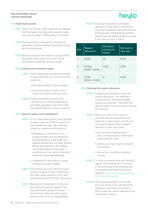### heylo

### 5.8 Initial repair period

- 5.8.1 There is a 10 year 'initial repair period' starting from the lease start date which applies while you own less than a 100% share in the home.
- 5.8.2 Any work that is covered by a warranty or guarantee must be claimed through the policy by the policyholder.
- 5.8.3 Repairs which are the landlord's responsibility during the initial repair period will not be recharged through the service charge.

### 5.8.4 External and structural repairs

- 5.8.4.1 In the initial repair period, the landlord is responsible for the cost of essential repairs to:
	- the external fabric of the building
	- $\bullet$  structural repairs to walls, floors, ceiling and stairs inside the home
- 5.8.4.2 These are limited to repairs not covered by the building warranty or any other guarantee. You must notify the landlord that the repair is required.

#### 5.8.5 General repairs and maintenance

- 5.8.5.1 In the initial repair period, you'll be able to claim costs up to £500 a year from your landlord to help with essential repairs or replacement (if faulty) of:
	- $\bullet$  installations in the home for the supply of water, gas and electricity (including basins, sinks, baths and sanitary devices but not other fixtures, fittings and appliances for making use of the supply of water, gas or electricity such as ovens or washing machines), pipes and drainage
	- installations in the home for space heating and water heating
- 5.8.5.2 The amount you can claim each year and the number of years remaining in the initial repair period is in the 'Key information about the home' document.
- 5.8.5.3 Repairs and maintenance costs over the allowance amount stated in the 'Key information about the home' document, or after the initial repair period ends, are your responsibility.

5.8.5.4 If you do not claim the full repairs allowance in one year, a maximum of one year's allowance will roll over to the following year. The following example shows how the repairs allowance works if you claim in years 2 and 3.

| Year          | <b>Repairs</b><br>allowance | Allowance<br>claimed for<br>repairs | Roll over to<br>next year |
|---------------|-----------------------------|-------------------------------------|---------------------------|
|               | £500                        | £Ο                                  | £500                      |
| $\mathcal{L}$ | £1,000<br>$(£500 + £500)$   | £750                                | £250                      |
| З             | £750<br>$(£500 + £250)$     | $\bigcirc$                          | £500                      |

#### 5.8.6 Claiming the repairs allowance

- 5.8.6.1 Contact your landlord to claim the repairs allowance. The landlord is responsible for deciding whether repairs are essential. They have the right to inspect the home when making this decision.
- 5.8.6.2 When you claim for the cost of essential repairs, the landlord will approve or reject claims in a fair and consistent manner. If the landlord declines a claim, they must:
	- tell you why in writing within 7 days of receiving your information supporting the claim
	- advise you of your right to dispute the decision
	- set out the complaints handling process
- 5.8.6.3 To carry out repairs that your landlord agrees are essential, you must use a Trustmark approved tradesperson or professionals approved by your landlord. [Find a local tradesperson on](https://www.trustmark.org.uk/)  [the Trustmark website.](https://www.trustmark.org.uk/)
- 5.8.6.4 The repairs allowance will transfer to a new owner if you sell the home. However, if the new owner buys a 100% share, the repairs allowance will not transfer to them.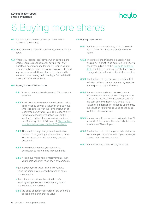### heylo

## 6.Buying more shares

- 6.1 You can buy more shares in your home. This is known as 'staircasing'.
- 6.2 If you buy more shares in your home, the rent will go down.
- 6.3 Where you require legal advice when buying more shares, you are responsible for paying your own legal fees. Your mortgage lender will require you to instruct a solicitor if you are borrowing money to fund any purchase of additional shares. The landlord is responsible for paying their own legal fees related to share purchase transactions.

### 6.4 Buying shares of 5% or more

- 6.4.1 You can buy additional shares of 5% or more at any time.
- 6.4.2 You'll need to know your home's market value. You'll need to pay for a valuation by a surveyor who is registered with the Royal Institution of Chartered Surveyors (RICS). The responsibility for who arranges the valuation (you or the landlord) is in the 'Home valuation' section of the 'Summary of costs' document. [You can find](https://www.ricsfirms.com/residential/)  [a registered surveyor on the RICS website.](https://www.ricsfirms.com/residential/)
- 6.4.3 The landlord may charge an administration fee each time you buy a share of 5% or more. The fee is stated in the 'Summary of costs' document.
- 6.4.4 You will need to have your landlord's permission to make home improvements.
- 6.4.5 If you have made home improvements, then your home valuation must show two amounts:
- the current market value this is the home's value including any increase because of home improvements
- the unimproved value this is the home's value ignoring the value added by any home improvements carried out
- 6.4.6 the price of additional shares of 5% or more is based on the unimproved value.

### 6.5 Buying shares of 1%

- **6.5.1** You have the option to buy a 1% share each year for the first 15 years that you own the home.
- 6.5.2 The price of the 1% share is based on the original full market value adjusted up or down each year in line with the [House Price Index](https://www.gov.uk/government/publications/about-the-uk-house-price-index)  [\(HPI\).](https://www.gov.uk/government/publications/about-the-uk-house-price-index) The HPI is a national statistic that shows changes in the value of residential properties.
- 6.5.3 The landlord will give you an up-to-date HPI valuation at least once a year and again when you request to buy a 1% share.
- 6.5.4 You or the landlord can choose to use a RICS valuation instead of HPI. The party who chooses to instruct a RICS surveyor pays for the cost of the valuation. Any time a RICS valuation is obtained in relation to your home, the valuation figure will be used as the basis for future HPI valuations.
- 6.5.5 You cannot roll over unused options to buy 1% shares to future years. The offer is limited to a maximum of 1% each year.
- 6.5.6 The landlord will not charge an administration fee when you buy a 1% share. If you buy larger shares, they may charge a fee.
- 6.5.7 You cannot buy shares of 2%, 3% or 4%.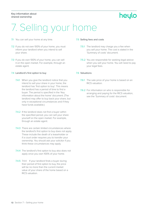### heylo

## 7. Selling your home

### 7.1 You can sell your home at any time.

- 7.2 If you do not own 100% of your home, you must inform your landlord when you intend to sell your share.
- 7.3 If you do own 100% of your home, you can sell it on the open market. For example, through an estate agent.

### 7.4 Landlord's first option to buy

- 7.4.1 When you give the landlord notice that you intend to sell your share in your home, the landlord has 'first option to buy'. This means the landlord has a period of time to find a buyer. The period is specified in the 'Key information about the home' document. (The landlord may offer to buy back your share, but only in exceptional circumstances and if they have funds available.)
- 7.4.2 If the landlord does not find a buyer within the specified period, you can sell your share yourself on the open market. For example, through an estate agent.
- 7.4.3 There are certain limited circumstances where the landlord's first option to buy does not apply. These include the death of a leaseholder or if a court order requires you to transfer your ownership. You should ask your solicitor if you think these circumstances may apply.
- 7.4.4 The landlord's first option to buy also does not apply once you own 100% of your home.
- 7.4.5 7.4.4 If your landlord finds a buyer during their period of first option to buy, the price will be no more than the current market value of your share of the home based on a RICS valuation.

### 7.5 Selling fees and costs

- 7.5.1 The landlord may charge you a fee when you sell your home. The cost is stated in the 'Summary of costs' document.
- 7.5.2 You are responsible for seeking legal advice when you sell your home. You will need to pay your legal fees.

### 7.6 Valuations

- 7.6.1 The sale price of your home is based on an RICS valuation.
- 7.6.2 For information on who is responsible for arranging and paying for the RICS valuation, see the 'Summary of costs' document.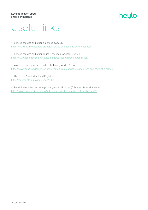### heylo

## Useful links

- Service charges and other expenses (GOV.UK) [https://www.gov.uk/leasehold-property/service-charges-and-other-expenses](https://www.gov.uk/leasehold-property/service-charges-and-other-expenses
)
- Service charges and other issues (Leasehold Advisory Service) [https://www.lease-advice.org/advice-guide/service-charges-other-issues/](https://www.lease-advice.org/advice-guide/service-charges-other-issues/ 
)
- A guide to mortgage fees and costs (Money Advice Service) [https://www.moneyadviceservice.org.uk/en/articles/mortgage-related-fees-and-costs-at-a-glance](https://www.moneyadviceservice.org.uk/en/articles/mortgage-related-fees-and-costs-at-a-glance
)

• UK House Price Index (Land Registry) [https://landregistry.data.gov.uk/app/ukhpi](https://landregistry.data.gov.uk/app/ukhpi
)

• Retail Prices Index percentage change over 12 month (Office for National Statistics) <https://www.ons.gov.uk/economy/inflationandpriceindices/timeseries/czbh/mm23>